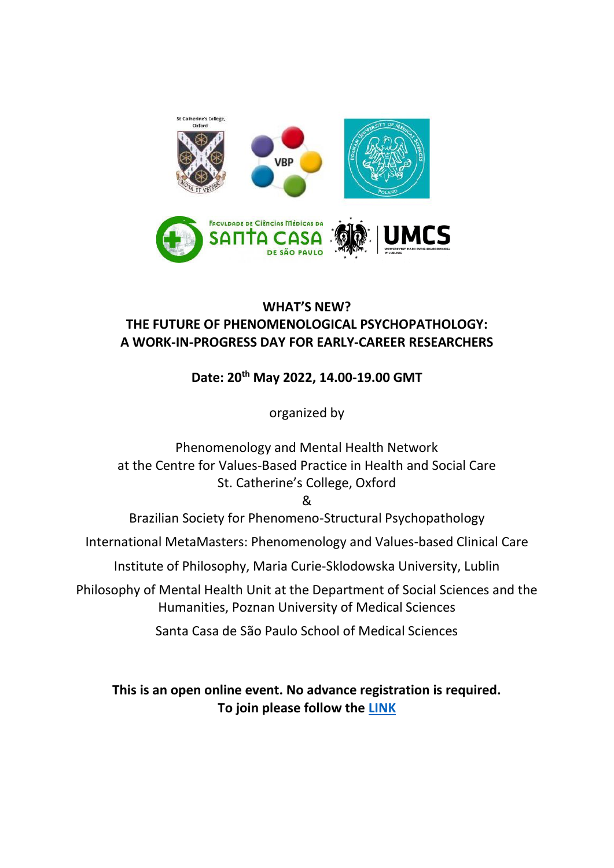

## **WHAT'S NEW? THE FUTURE OF PHENOMENOLOGICAL PSYCHOPATHOLOGY: A WORK-IN-PROGRESS DAY FOR EARLY-CAREER RESEARCHERS**

# **Date: 20th May 2022, 14.00-19.00 GMT**

organized by

Phenomenology and Mental Health Network at the Centre for Values-Based Practice in Health and Social Care St. Catherine's College, Oxford

&

Brazilian Society for Phenomeno-Structural Psychopathology

International MetaMasters: Phenomenology and Values-based Clinical Care

Institute of Philosophy, Maria Curie-Sklodowska University, Lublin

Philosophy of Mental Health Unit at the Department of Social Sciences and the Humanities, Poznan University of Medical Sciences

Santa Casa de São Paulo School of Medical Sciences

**This is an open online event. No advance registration is required. To join please follow the [LINK](https://teams.microsoft.com/l/meetup-join/19%3ameeting_YThiMGE0ZmUtNjYwZS00MjI3LWFmNmYtYWM0NTkzYzQzNzUy%40thread.v2/0?context=%7b%22Tid%22%3a%22ee0e923b-5730-4331-a9ea-ac4acb2cd86d%22%2c%22Oid%22%3a%22c50b30fc-b04d-423e-b776-1840453315e9%22%7d)**